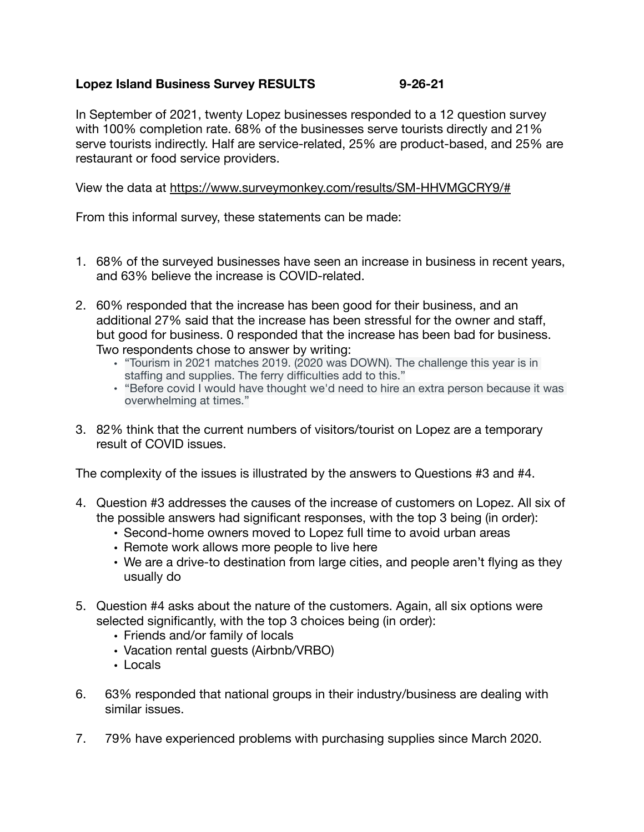## **Lopez Island Business Survey RESULTS 9-26-21**

In September of 2021, twenty Lopez businesses responded to a 12 question survey with 100% completion rate. 68% of the businesses serve tourists directly and 21% serve tourists indirectly. Half are service-related, 25% are product-based, and 25% are restaurant or food service providers.

View the data at <https://www.surveymonkey.com/results/SM-HHVMGCRY9/#>

From this informal survey, these statements can be made:

- 1. 68% of the surveyed businesses have seen an increase in business in recent years, and 63% believe the increase is COVID-related.
- 2. 60% responded that the increase has been good for their business, and an additional 27% said that the increase has been stressful for the owner and staff, but good for business. 0 responded that the increase has been bad for business. Two respondents chose to answer by writing:
	- "Tourism in 2021 matches 2019. (2020 was DOWN). The challenge this year is in staffing and supplies. The ferry difficulties add to this."
	- "Before covid I would have thought we'd need to hire an extra person because it was overwhelming at times."
- 3. 82% think that the current numbers of visitors/tourist on Lopez are a temporary result of COVID issues.

The complexity of the issues is illustrated by the answers to Questions #3 and #4.

- 4. Question #3 addresses the causes of the increase of customers on Lopez. All six of the possible answers had significant responses, with the top 3 being (in order):
	- Second-home owners moved to Lopez full time to avoid urban areas
	- Remote work allows more people to live here
	- We are a drive-to destination from large cities, and people aren't flying as they usually do
- 5. Question #4 asks about the nature of the customers. Again, all six options were selected significantly, with the top 3 choices being (in order):
	- Friends and/or family of locals
	- Vacation rental guests (Airbnb/VRBO)
	- Locals
- 6. 63% responded that national groups in their industry/business are dealing with similar issues.
- 7. 79% have experienced problems with purchasing supplies since March 2020.